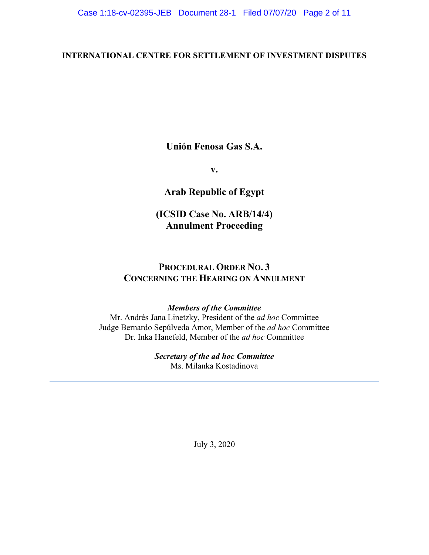### **INTERNATIONAL CENTRE FOR SETTLEMENT OF INVESTMENT DISPUTES**

**Unión Fenosa Gas S.A.** 

**v.**

**Arab Republic of Egypt**

**(ICSID Case No. ARB/14/4) Annulment Proceeding**

## **PROCEDURAL ORDER NO. 3 CONCERNING THE HEARING ON ANNULMENT**

### *Members of the Committee*

Mr. Andrés Jana Linetzky, President of the *ad hoc* Committee Judge Bernardo Sepúlveda Amor, Member of the *ad hoc* Committee Dr. Inka Hanefeld, Member of the *ad hoc* Committee

## *Secretary of the ad hoc Committee*

Ms. Milanka Kostadinova

July 3, 2020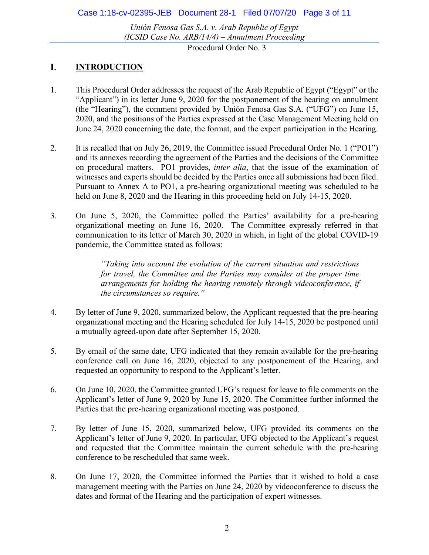Case 1:18-cv-02395-JEB Document 28-1 Filed 07/07/20 Page 3 of 11

*Unión Fenosa Gas S.A. v. Arab Republic of Egypt (ICSID Case No. ARB/14/4) – Annulment Proceeding*

Procedural Order No. 3

#### I. **INTRODUCTION**

- 1. This Procedural Order addresses the request of the Arab Republic of Egypt ("Egypt" or the "Applicant") in its letter June 9, 2020 for the postponement of the hearing on annulment (the "Hearing"), the comment provided by Unión Fenosa Gas S.A. ("UFG") on June 15, 2020, and the positions of the Parties expressed at the Case Management Meeting held on June 24, 2020 concerning the date, the format, and the expert participation in the Hearing.
- 2. It is recalled that on July 26, 2019, the Committee issued Procedural Order No. 1 ("PO1") and its annexes recording the agreement of the Parties and the decisions of the Committee on procedural matters. PO1 provides, *inter alia*, that the issue of the examination of witnesses and experts should be decided by the Parties once all submissions had been filed. Pursuant to Annex A to PO1, a pre-hearing organizational meeting was scheduled to be held on June 8, 2020 and the Hearing in this proceeding held on July 14-15, 2020.
- 3. On June 5, 2020, the Committee polled the Parties' availability for a pre-hearing organizational meeting on June 16, 2020. The Committee expressly referred in that communication to its letter of March 30, 2020 in which, in light of the global COVID-19 pandemic, the Committee stated as follows:

*"Taking into account the evolution of the current situation and restrictions for travel, the Committee and the Parties may consider at the proper time arrangements for holding the hearing remotely through videoconference, if the circumstances so require."*

- 4. By letter of June 9, 2020, summarized below, the Applicant requested that the pre-hearing organizational meeting and the Hearing scheduled for July 14-15, 2020 be postponed until a mutually agreed-upon date after September 15, 2020.
- 5. By email of the same date, UFG indicated that they remain available for the pre-hearing conference call on June 16, 2020, objected to any postponement of the Hearing, and requested an opportunity to respond to the Applicant's letter.
- 6. On June 10, 2020, the Committee granted UFG's request for leave to file comments on the Applicant's letter of June 9, 2020 by June 15, 2020. The Committee further informed the Parties that the pre-hearing organizational meeting was postponed.
- 7. By letter of June 15, 2020, summarized below, UFG provided its comments on the Applicant's letter of June 9, 2020. In particular, UFG objected to the Applicant's request and requested that the Committee maintain the current schedule with the pre-hearing conference to be rescheduled that same week.
- 8. On June 17, 2020, the Committee informed the Parties that it wished to hold a case management meeting with the Parties on June 24, 2020 by videoconference to discuss the dates and format of the Hearing and the participation of expert witnesses.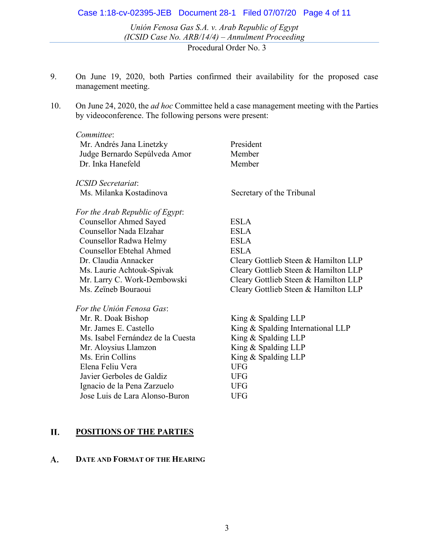### Case 1:18-cv-02395-JEB Document 28-1 Filed 07/07/20 Page 4 of 11

*Unión Fenosa Gas S.A. v. Arab Republic of Egypt (ICSID Case No. ARB/14/4) – Annulment Proceeding*

Procedural Order No. 3

- 9. On June 19, 2020, both Parties confirmed their availability for the proposed case management meeting.
- 10. On June 24, 2020, the *ad hoc* Committee held a case management meeting with the Parties by videoconference. The following persons were present:

| Committee:                        |                                      |
|-----------------------------------|--------------------------------------|
| Mr. Andrés Jana Linetzky          | President                            |
| Judge Bernardo Sepúlveda Amor     | Member                               |
| Dr. Inka Hanefeld                 | Member                               |
| <b>ICSID Secretariat:</b>         |                                      |
| Ms. Milanka Kostadinova           | Secretary of the Tribunal            |
| For the Arab Republic of Egypt:   |                                      |
| <b>Counsellor Ahmed Sayed</b>     | <b>ESLA</b>                          |
| Counsellor Nada Elzahar           | <b>ESLA</b>                          |
| Counsellor Radwa Helmy            | <b>ESLA</b>                          |
| <b>Counsellor Ebtehal Ahmed</b>   | <b>ESLA</b>                          |
| Dr. Claudia Annacker              | Cleary Gottlieb Steen & Hamilton LLP |
| Ms. Laurie Achtouk-Spivak         | Cleary Gottlieb Steen & Hamilton LLP |
| Mr. Larry C. Work-Dembowski       | Cleary Gottlieb Steen & Hamilton LLP |
| Ms. Zeïneb Bouraoui               | Cleary Gottlieb Steen & Hamilton LLP |
| For the Unión Fenosa Gas:         |                                      |
| Mr. R. Doak Bishop                | King $&$ Spalding LLP                |
| Mr. James E. Castello             | King & Spalding International LLP    |
| Ms. Isabel Fernández de la Cuesta | King & Spalding LLP                  |
| Mr. Aloysius Llamzon              | King & Spalding LLP                  |
| Ms. Erin Collins                  | King $&$ Spalding LLP                |
| Elena Feliu Vera                  | <b>UFG</b>                           |
| Javier Gerboles de Galdiz         | <b>UFG</b>                           |
| Ignacio de la Pena Zarzuelo       | <b>UFG</b>                           |
| Jose Luis de Lara Alonso-Buron    | <b>UFG</b>                           |

#### П. **POSITIONS OF THE PARTIES**

#### **A. DATE AND FORMAT OF THE HEARING**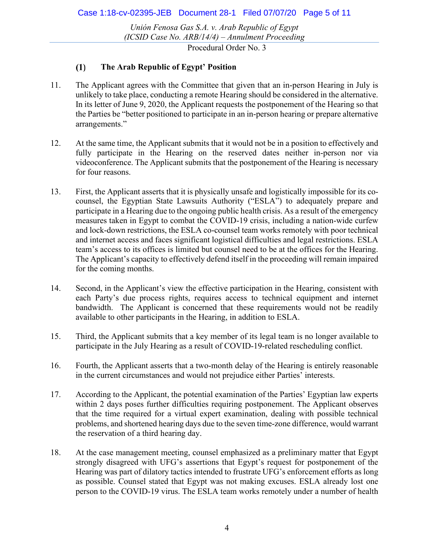*Unión Fenosa Gas S.A. v. Arab Republic of Egypt (ICSID Case No. ARB/14/4) – Annulment Proceeding*

Procedural Order No. 3

#### $(1)$ **The Arab Republic of Egypt' Position**

- 11. The Applicant agrees with the Committee that given that an in-person Hearing in July is unlikely to take place, conducting a remote Hearing should be considered in the alternative. In its letter of June 9, 2020, the Applicant requests the postponement of the Hearing so that the Parties be "better positioned to participate in an in-person hearing or prepare alternative arrangements."
- 12. At the same time, the Applicant submits that it would not be in a position to effectively and fully participate in the Hearing on the reserved dates neither in-person nor via videoconference. The Applicant submits that the postponement of the Hearing is necessary for four reasons.
- 13. First, the Applicant asserts that it is physically unsafe and logistically impossible for its cocounsel, the Egyptian State Lawsuits Authority ("ESLA") to adequately prepare and participate in a Hearing due to the ongoing public health crisis. As a result of the emergency measures taken in Egypt to combat the COVID-19 crisis, including a nation-wide curfew and lock-down restrictions, the ESLA co-counsel team works remotely with poor technical and internet access and faces significant logistical difficulties and legal restrictions. ESLA team's access to its offices is limited but counsel need to be at the offices for the Hearing. The Applicant's capacity to effectively defend itself in the proceeding will remain impaired for the coming months.
- 14. Second, in the Applicant's view the effective participation in the Hearing, consistent with each Party's due process rights, requires access to technical equipment and internet bandwidth. The Applicant is concerned that these requirements would not be readily available to other participants in the Hearing, in addition to ESLA.
- 15. Third, the Applicant submits that a key member of its legal team is no longer available to participate in the July Hearing as a result of COVID-19-related rescheduling conflict.
- 16. Fourth, the Applicant asserts that a two-month delay of the Hearing is entirely reasonable in the current circumstances and would not prejudice either Parties' interests.
- 17. According to the Applicant, the potential examination of the Parties' Egyptian law experts within 2 days poses further difficulties requiring postponement. The Applicant observes that the time required for a virtual expert examination, dealing with possible technical problems, and shortened hearing days due to the seven time-zone difference, would warrant the reservation of a third hearing day.
- 18. At the case management meeting, counsel emphasized as a preliminary matter that Egypt strongly disagreed with UFG's assertions that Egypt's request for postponement of the Hearing was part of dilatory tactics intended to frustrate UFG's enforcement efforts as long as possible. Counsel stated that Egypt was not making excuses. ESLA already lost one person to the COVID-19 virus. The ESLA team works remotely under a number of health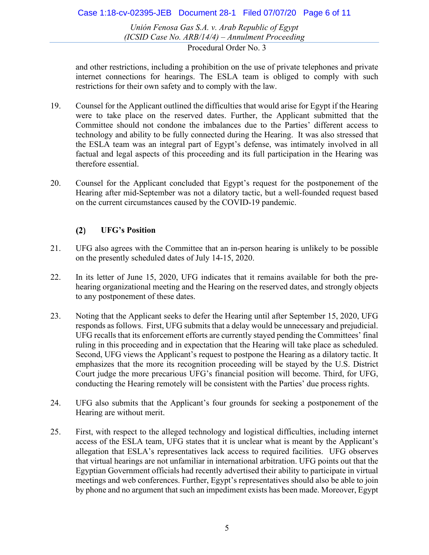### Case 1:18-cv-02395-JEB Document 28-1 Filed 07/07/20 Page 6 of 11

*Unión Fenosa Gas S.A. v. Arab Republic of Egypt (ICSID Case No. ARB/14/4) – Annulment Proceeding* Procedural Order No. 3

and other restrictions, including a prohibition on the use of private telephones and private internet connections for hearings. The ESLA team is obliged to comply with such restrictions for their own safety and to comply with the law.

- 19. Counsel for the Applicant outlined the difficulties that would arise for Egypt if the Hearing were to take place on the reserved dates. Further, the Applicant submitted that the Committee should not condone the imbalances due to the Parties' different access to technology and ability to be fully connected during the Hearing. It was also stressed that the ESLA team was an integral part of Egypt's defense, was intimately involved in all factual and legal aspects of this proceeding and its full participation in the Hearing was therefore essential.
- 20. Counsel for the Applicant concluded that Egypt's request for the postponement of the Hearing after mid-September was not a dilatory tactic, but a well-founded request based on the current circumstances caused by the COVID-19 pandemic.

#### $(2)$ **UFG's Position**

- 21. UFG also agrees with the Committee that an in-person hearing is unlikely to be possible on the presently scheduled dates of July 14-15, 2020.
- 22. In its letter of June 15, 2020, UFG indicates that it remains available for both the prehearing organizational meeting and the Hearing on the reserved dates, and strongly objects to any postponement of these dates.
- 23. Noting that the Applicant seeks to defer the Hearing until after September 15, 2020, UFG responds as follows. First, UFG submits that a delay would be unnecessary and prejudicial. UFG recalls that its enforcement efforts are currently stayed pending the Committees' final ruling in this proceeding and in expectation that the Hearing will take place as scheduled. Second, UFG views the Applicant's request to postpone the Hearing as a dilatory tactic. It emphasizes that the more its recognition proceeding will be stayed by the U.S. District Court judge the more precarious UFG's financial position will become. Third, for UFG, conducting the Hearing remotely will be consistent with the Parties' due process rights.
- 24. UFG also submits that the Applicant's four grounds for seeking a postponement of the Hearing are without merit.
- 25. First, with respect to the alleged technology and logistical difficulties, including internet access of the ESLA team, UFG states that it is unclear what is meant by the Applicant's allegation that ESLA's representatives lack access to required facilities. UFG observes that virtual hearings are not unfamiliar in international arbitration. UFG points out that the Egyptian Government officials had recently advertised their ability to participate in virtual meetings and web conferences. Further, Egypt's representatives should also be able to join by phone and no argument that such an impediment exists has been made. Moreover, Egypt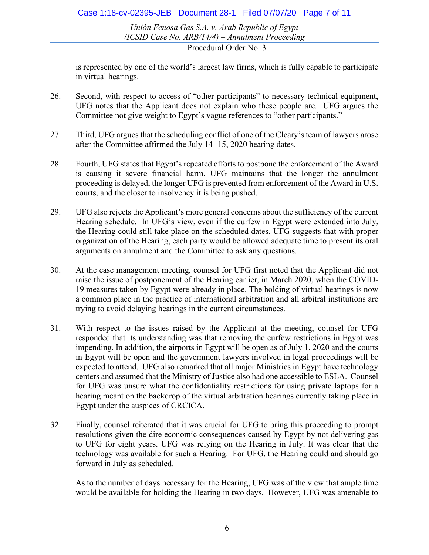### Case 1:18-cv-02395-JEB Document 28-1 Filed 07/07/20 Page 7 of 11

*Unión Fenosa Gas S.A. v. Arab Republic of Egypt (ICSID Case No. ARB/14/4) – Annulment Proceeding*

Procedural Order No. 3

is represented by one of the world's largest law firms, which is fully capable to participate in virtual hearings.

- 26. Second, with respect to access of "other participants" to necessary technical equipment, UFG notes that the Applicant does not explain who these people are. UFG argues the Committee not give weight to Egypt's vague references to "other participants."
- 27. Third, UFG argues that the scheduling conflict of one of the Cleary's team of lawyers arose after the Committee affirmed the July 14 -15, 2020 hearing dates.
- 28. Fourth, UFG states that Egypt's repeated efforts to postpone the enforcement of the Award is causing it severe financial harm. UFG maintains that the longer the annulment proceeding is delayed, the longer UFG is prevented from enforcement of the Award in U.S. courts, and the closer to insolvency it is being pushed.
- 29. UFG also rejects the Applicant's more general concerns about the sufficiency of the current Hearing schedule. In UFG's view, even if the curfew in Egypt were extended into July, the Hearing could still take place on the scheduled dates. UFG suggests that with proper organization of the Hearing, each party would be allowed adequate time to present its oral arguments on annulment and the Committee to ask any questions.
- 30. At the case management meeting, counsel for UFG first noted that the Applicant did not raise the issue of postponement of the Hearing earlier, in March 2020, when the COVID-19 measures taken by Egypt were already in place. The holding of virtual hearings is now a common place in the practice of international arbitration and all arbitral institutions are trying to avoid delaying hearings in the current circumstances.
- 31. With respect to the issues raised by the Applicant at the meeting, counsel for UFG responded that its understanding was that removing the curfew restrictions in Egypt was impending. In addition, the airports in Egypt will be open as of July 1, 2020 and the courts in Egypt will be open and the government lawyers involved in legal proceedings will be expected to attend. UFG also remarked that all major Ministries in Egypt have technology centers and assumed that the Ministry of Justice also had one accessible to ESLA. Counsel for UFG was unsure what the confidentiality restrictions for using private laptops for a hearing meant on the backdrop of the virtual arbitration hearings currently taking place in Egypt under the auspices of CRCICA.
- 32. Finally, counsel reiterated that it was crucial for UFG to bring this proceeding to prompt resolutions given the dire economic consequences caused by Egypt by not delivering gas to UFG for eight years. UFG was relying on the Hearing in July. It was clear that the technology was available for such a Hearing. For UFG, the Hearing could and should go forward in July as scheduled.

As to the number of days necessary for the Hearing, UFG was of the view that ample time would be available for holding the Hearing in two days. However, UFG was amenable to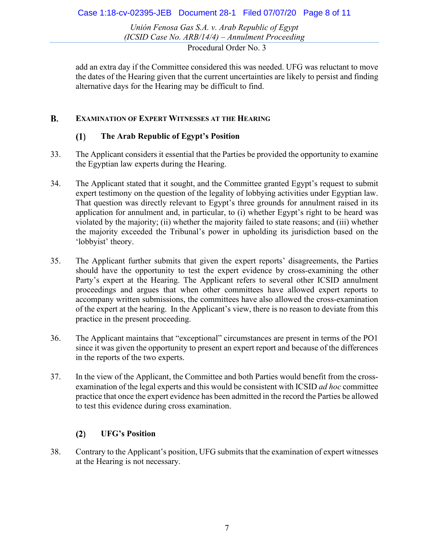Case 1:18-cv-02395-JEB Document 28-1 Filed 07/07/20 Page 8 of 11

*Unión Fenosa Gas S.A. v. Arab Republic of Egypt (ICSID Case No. ARB/14/4) – Annulment Proceeding*

Procedural Order No. 3

add an extra day if the Committee considered this was needed. UFG was reluctant to move the dates of the Hearing given that the current uncertainties are likely to persist and finding alternative days for the Hearing may be difficult to find.

#### **B. EXAMINATION OF EXPERT WITNESSES AT THE HEARING**

#### $(1)$ **The Arab Republic of Egypt's Position**

- 33. The Applicant considers it essential that the Parties be provided the opportunity to examine the Egyptian law experts during the Hearing.
- 34. The Applicant stated that it sought, and the Committee granted Egypt's request to submit expert testimony on the question of the legality of lobbying activities under Egyptian law. That question was directly relevant to Egypt's three grounds for annulment raised in its application for annulment and, in particular, to (i) whether Egypt's right to be heard was violated by the majority; (ii) whether the majority failed to state reasons; and (iii) whether the majority exceeded the Tribunal's power in upholding its jurisdiction based on the 'lobbyist' theory.
- 35. The Applicant further submits that given the expert reports' disagreements, the Parties should have the opportunity to test the expert evidence by cross-examining the other Party's expert at the Hearing. The Applicant refers to several other ICSID annulment proceedings and argues that when other committees have allowed expert reports to accompany written submissions, the committees have also allowed the cross-examination of the expert at the hearing. In the Applicant's view, there is no reason to deviate from this practice in the present proceeding.
- 36. The Applicant maintains that "exceptional" circumstances are present in terms of the PO1 since it was given the opportunity to present an expert report and because of the differences in the reports of the two experts.
- 37. In the view of the Applicant, the Committee and both Parties would benefit from the crossexamination of the legal experts and this would be consistent with ICSID *ad hoc* committee practice that once the expert evidence has been admitted in the record the Parties be allowed to test this evidence during cross examination.

#### $(2)$ **UFG's Position**

38. Contrary to the Applicant's position, UFG submits that the examination of expert witnesses at the Hearing is not necessary.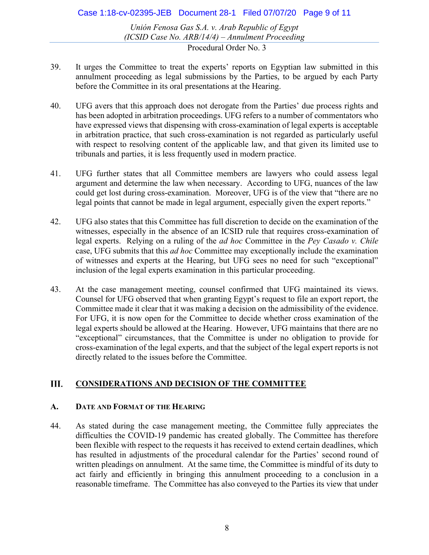### Case 1:18-cv-02395-JEB Document 28-1 Filed 07/07/20 Page 9 of 11

*Unión Fenosa Gas S.A. v. Arab Republic of Egypt (ICSID Case No. ARB/14/4) – Annulment Proceeding* Procedural Order No. 3

- 39. It urges the Committee to treat the experts' reports on Egyptian law submitted in this annulment proceeding as legal submissions by the Parties, to be argued by each Party before the Committee in its oral presentations at the Hearing.
- 40. UFG avers that this approach does not derogate from the Parties' due process rights and has been adopted in arbitration proceedings. UFG refers to a number of commentators who have expressed views that dispensing with cross-examination of legal experts is acceptable in arbitration practice, that such cross-examination is not regarded as particularly useful with respect to resolving content of the applicable law, and that given its limited use to tribunals and parties, it is less frequently used in modern practice.
- 41. UFG further states that all Committee members are lawyers who could assess legal argument and determine the law when necessary. According to UFG, nuances of the law could get lost during cross-examination. Moreover, UFG is of the view that "there are no legal points that cannot be made in legal argument, especially given the expert reports."
- 42. UFG also states that this Committee has full discretion to decide on the examination of the witnesses, especially in the absence of an ICSID rule that requires cross-examination of legal experts. Relying on a ruling of the *ad hoc* Committee in the *Pey Casado v. Chile* case, UFG submits that this *ad hoc* Committee may exceptionally include the examination of witnesses and experts at the Hearing, but UFG sees no need for such "exceptional" inclusion of the legal experts examination in this particular proceeding.
- 43. At the case management meeting, counsel confirmed that UFG maintained its views. Counsel for UFG observed that when granting Egypt's request to file an export report, the Committee made it clear that it was making a decision on the admissibility of the evidence. For UFG, it is now open for the Committee to decide whether cross examination of the legal experts should be allowed at the Hearing. However, UFG maintains that there are no "exceptional" circumstances, that the Committee is under no obligation to provide for cross-examination of the legal experts, and that the subject of the legal expert reports is not directly related to the issues before the Committee.

#### Ш. **CONSIDERATIONS AND DECISION OF THE COMMITTEE**

### **A. DATE AND FORMAT OF THE HEARING**

44. As stated during the case management meeting, the Committee fully appreciates the difficulties the COVID-19 pandemic has created globally. The Committee has therefore been flexible with respect to the requests it has received to extend certain deadlines, which has resulted in adjustments of the procedural calendar for the Parties' second round of written pleadings on annulment. At the same time, the Committee is mindful of its duty to act fairly and efficiently in bringing this annulment proceeding to a conclusion in a reasonable timeframe. The Committee has also conveyed to the Parties its view that under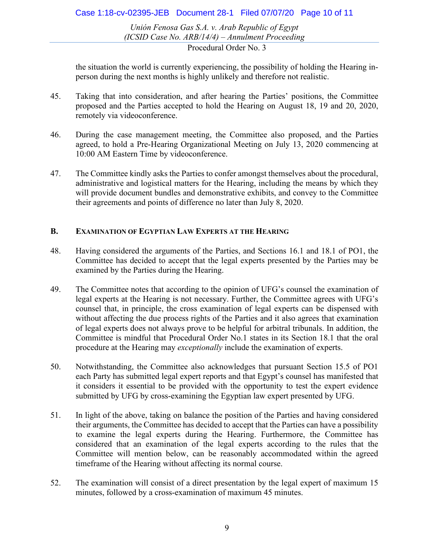### Case 1:18-cv-02395-JEB Document 28-1 Filed 07/07/20 Page 10 of 11

*Unión Fenosa Gas S.A. v. Arab Republic of Egypt (ICSID Case No. ARB/14/4) – Annulment Proceeding*

Procedural Order No. 3

the situation the world is currently experiencing, the possibility of holding the Hearing inperson during the next months is highly unlikely and therefore not realistic.

- 45. Taking that into consideration, and after hearing the Parties' positions, the Committee proposed and the Parties accepted to hold the Hearing on August 18, 19 and 20, 2020, remotely via videoconference.
- 46. During the case management meeting, the Committee also proposed, and the Parties agreed, to hold a Pre-Hearing Organizational Meeting on July 13, 2020 commencing at 10:00 AM Eastern Time by videoconference.
- 47. The Committee kindly asks the Parties to confer amongst themselves about the procedural, administrative and logistical matters for the Hearing, including the means by which they will provide document bundles and demonstrative exhibits, and convey to the Committee their agreements and points of difference no later than July 8, 2020.

### **B. EXAMINATION OF EGYPTIAN LAW EXPERTS AT THE HEARING**

- 48. Having considered the arguments of the Parties, and Sections 16.1 and 18.1 of PO1, the Committee has decided to accept that the legal experts presented by the Parties may be examined by the Parties during the Hearing.
- 49. The Committee notes that according to the opinion of UFG's counsel the examination of legal experts at the Hearing is not necessary. Further, the Committee agrees with UFG's counsel that, in principle, the cross examination of legal experts can be dispensed with without affecting the due process rights of the Parties and it also agrees that examination of legal experts does not always prove to be helpful for arbitral tribunals. In addition, the Committee is mindful that Procedural Order No.1 states in its Section 18.1 that the oral procedure at the Hearing may *exceptionally* include the examination of experts.
- 50. Notwithstanding, the Committee also acknowledges that pursuant Section 15.5 of PO1 each Party has submitted legal expert reports and that Egypt's counsel has manifested that it considers it essential to be provided with the opportunity to test the expert evidence submitted by UFG by cross-examining the Egyptian law expert presented by UFG.
- 51. In light of the above, taking on balance the position of the Parties and having considered their arguments, the Committee has decided to accept that the Parties can have a possibility to examine the legal experts during the Hearing. Furthermore, the Committee has considered that an examination of the legal experts according to the rules that the Committee will mention below, can be reasonably accommodated within the agreed timeframe of the Hearing without affecting its normal course.
- 52. The examination will consist of a direct presentation by the legal expert of maximum 15 minutes, followed by a cross-examination of maximum 45 minutes.